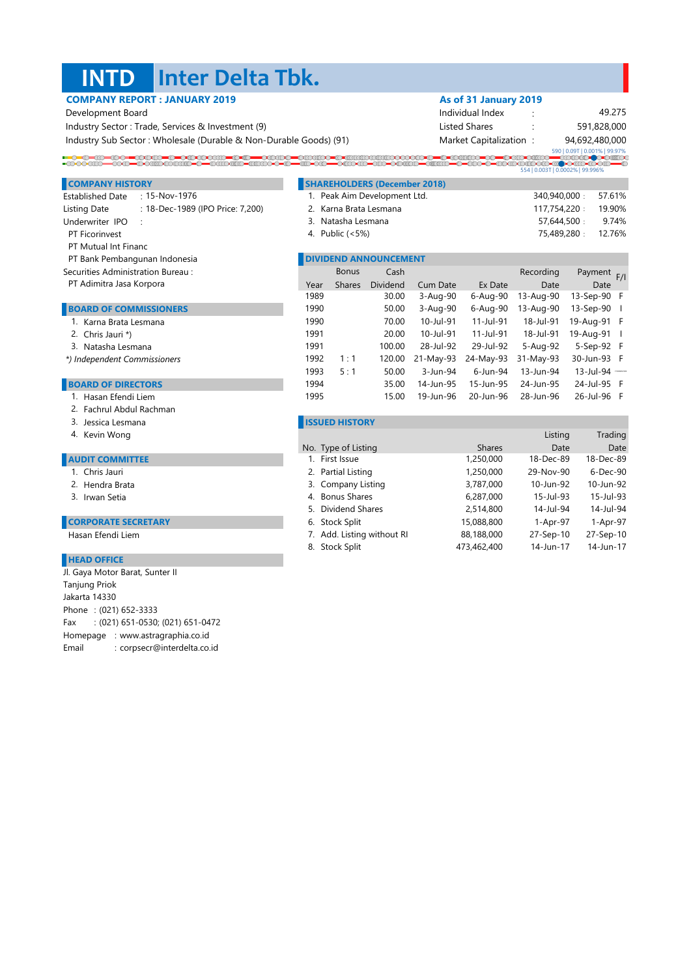#### **INTD Inter Delta Tbk.**

| Development Board                                                                         |                 |                    |                                     |           | Individual Index       |              | 49.275                           |  |
|-------------------------------------------------------------------------------------------|-----------------|--------------------|-------------------------------------|-----------|------------------------|--------------|----------------------------------|--|
| Industry Sector: Trade, Services & Investment (9)                                         |                 |                    |                                     |           | Listed Shares          |              | 591,828,000                      |  |
| Industry Sub Sector: Wholesale (Durable & Non-Durable Goods) (91)                         |                 |                    |                                     |           | Market Capitalization: |              | 94,692,480,000                   |  |
|                                                                                           |                 |                    |                                     |           |                        |              | 590   0.09T   0.001%   99.97%    |  |
| =COOOCCO=COOLOOCCOOCCO=C=COUDULO=CUCOOO+C=C=CO=COOOCO=CUCO+COOCCO=CHUCO=C=COOO+C=COOOOO+C |                 |                    |                                     |           |                        |              | 554   0.003T   0.0002%   99.996% |  |
| <b>COMPANY HISTORY</b>                                                                    |                 |                    | <b>SHAREHOLDERS (December 2018)</b> |           |                        |              |                                  |  |
| <b>Established Date</b><br>$: 15-Nov-1976$                                                |                 |                    | 1. Peak Aim Development Ltd.        |           |                        | 340,940,000: | 57.61%                           |  |
| : 18-Dec-1989 (IPO Price: 7,200)<br>Listing Date                                          |                 |                    | 2. Karna Brata Lesmana              |           |                        | 117,754,220: | 19.90%                           |  |
| Underwriter IPO                                                                           |                 | 3. Natasha Lesmana |                                     |           |                        |              | 57,644,500:<br>9.74%             |  |
| PT Ficorinvest                                                                            | 4. Public (<5%) |                    |                                     |           |                        |              | 75,489,280:<br>12.76%            |  |
| <b>PT Mutual Int Financ</b>                                                               |                 |                    |                                     |           |                        |              |                                  |  |
| PT Bank Pembangunan Indonesia                                                             |                 |                    | <b>DIVIDEND ANNOUNCEMENT</b>        |           |                        |              |                                  |  |
| Securities Administration Bureau:                                                         |                 | <b>Bonus</b>       | Cash                                |           |                        | Recording    | Payment F/I                      |  |
| PT Adimitra Jasa Korpora                                                                  | Year            | Shares             | Dividend                            | Cum Date  | Ex Date                | Date         | Date                             |  |
|                                                                                           | 1989            |                    | 30.00                               | 3-Aug-90  | 6-Aug-90               | 13-Aug-90    | 13-Sep-90 F                      |  |
| <b>BOARD OF COMMISSIONERS</b>                                                             | 1990            |                    | 50.00                               | 3-Aug-90  | 6-Aug-90               | 13-Aug-90    | 13-Sep-90                        |  |
| 1. Karna Brata Lesmana                                                                    | 1990            |                    | 70.00                               | 10-Jul-91 | 11-Jul-91              | 18-Jul-91    | 19-Aug-91 F                      |  |
| 2. Chris Jauri *)                                                                         | 1991            |                    | 20.00                               | 10-Jul-91 | 11-Jul-91              | 18-Jul-91    | 19-Aug-91                        |  |
| 3. Natasha Lesmana                                                                        | 1991            |                    | 100.00                              | 28-Jul-92 | 29-Jul-92              | 5-Aug-92     | 5-Sep-92 F                       |  |
| *) Independent Commissioners                                                              | 1992            | 1:1                | 120.00                              | 21-May-93 | 24-May-93              | 31-May-93    | 30-Jun-93 F                      |  |
|                                                                                           | 1993            | 5:1                | 50.00                               | 3-Jun-94  | 6-Jun-94               | 13-Jun-94    | 13-Jul-94 *******                |  |

## **BOARD OF DIRECTORS**

- 1. Hasan Efendi Liem
- 2. Fachrul Abdul Rachman
- 3. Jessica Lesmana
- Kevin Wong Listing Trading Trading Trading Trading Trading Trading Trading Trading Trading Trading Trading Trading 4. Kevin Wong

#### **AUDIT COMMITTEE**

- 1. Chris Jauri
- 2. Hendra Brata 2012. 2013.
- 3. Irwan Setia

### **CORPORATE SECRETARY**

Hasan Efendi Liem

#### **HEAD OFFICE**

Phone : (021) 652-3333 Fax : (021) 651-0530; (021) 651-0472 Homepage : www.astragraphia.co.id Email : corpsecr@interdelta.co.id Tanjung Priok Jakarta 14330 Jl. Gaya Motor Barat, Sunter II

### **ISSUED HISTORY**

| No. Type of Listing        | <b>Shares</b> | Date      | Date      |
|----------------------------|---------------|-----------|-----------|
| 1. First Issue             | 1,250,000     | 18-Dec-89 | 18-Dec-89 |
| 2. Partial Listing         | 1,250,000     | 29-Nov-90 | 6-Dec-90  |
| 3. Company Listing         | 3,787,000     | 10-Jun-92 | 10-Jun-92 |
| 4. Bonus Shares            | 6,287,000     | 15-Jul-93 | 15-Jul-93 |
| 5. Dividend Shares         | 2,514,800     | 14-Jul-94 | 14-Jul-94 |
| 6. Stock Split             | 15,088,800    | 1-Apr-97  | 1-Apr-97  |
| 7. Add. Listing without RI | 88,188,000    | 27-Sep-10 | 27-Sep-10 |
| 8. Stock Split             | 473.462.400   | 14-Jun-17 | 14-Jun-17 |
|                            |               |           |           |

1994 35.00 14-Jun-95 15-Jun-95 24-Jun-95 24-Jul-95 F 1995 15.00 19-Jun-96 20-Jun-96 28-Jun-96 26-Jul-96 F

# **COMPANY REPORT : JANUARY 2019 As of 31 January 2019**

| Individual Index       | ٠      | 49.275         |
|------------------------|--------|----------------|
| Listed Shares          | ٠<br>٠ | 591,828,000    |
| Market Capitalization: |        | 94,692,480,000 |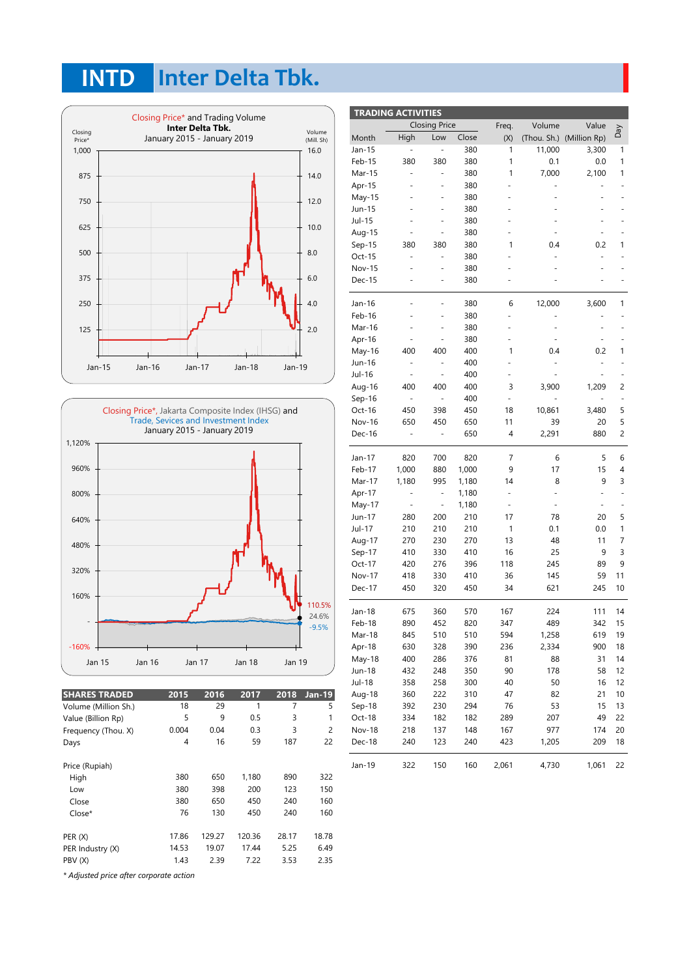# **INTD Inter Delta Tbk.**





| <b>SHARES TRADED</b>                    | 2015  | 2016   | 2017   | 2018  | <b>Jan-19</b> |
|-----------------------------------------|-------|--------|--------|-------|---------------|
| Volume (Million Sh.)                    | 18    | 29     | 1      | 7     | 5             |
| Value (Billion Rp)                      | 5     | 9      | 0.5    | 3     | 1             |
| Frequency (Thou. X)                     | 0.004 | 0.04   | 0.3    | 3     | 2             |
| Days                                    | 4     | 16     | 59     | 187   | 22            |
| Price (Rupiah)                          |       |        |        |       |               |
| High                                    | 380   | 650    | 1,180  | 890   | 322           |
| Low                                     | 380   | 398    | 200    | 123   | 150           |
| Close                                   | 380   | 650    | 450    | 240   | 160           |
| Close*                                  | 76    | 130    | 450    | 240   | 160           |
| PER(X)                                  | 17.86 | 129.27 | 120.36 | 28.17 | 18.78         |
| PER Industry (X)                        | 14.53 | 19.07  | 17.44  | 5.25  | 6.49          |
| PBV (X)                                 | 1.43  | 2.39   | 7.22   | 3.53  | 2.35          |
| * Adjusted price after corporate action |       |        |        |       |               |

| <b>TRADING ACTIVITIES</b> |                          |                          |       |                              |        |                          |                          |
|---------------------------|--------------------------|--------------------------|-------|------------------------------|--------|--------------------------|--------------------------|
|                           |                          | <b>Closing Price</b>     |       | Freq.                        | Volume | Value                    | VeQ                      |
| Month                     | High                     | Low                      | Close | (X)                          |        | (Thou. Sh.) (Million Rp) |                          |
| Jan-15                    |                          |                          | 380   | 1                            | 11,000 | 3,300                    | 1                        |
| Feb-15                    | 380                      | 380                      | 380   | 1                            | 0.1    | 0.0                      | 1                        |
| Mar-15                    |                          | ÷,                       | 380   | 1                            | 7,000  | 2,100                    | 1                        |
| Apr-15                    |                          |                          | 380   |                              |        |                          |                          |
| May-15                    |                          |                          | 380   |                              |        |                          |                          |
| Jun-15                    |                          |                          | 380   |                              |        |                          |                          |
| Jul-15                    |                          |                          | 380   |                              |        |                          |                          |
| Aug-15                    |                          |                          | 380   |                              |        |                          |                          |
| Sep-15                    | 380                      | 380                      | 380   | 1                            | 0.4    | 0.2                      | 1                        |
| Oct-15                    |                          |                          | 380   |                              |        |                          |                          |
| <b>Nov-15</b>             |                          |                          | 380   |                              |        |                          |                          |
| Dec-15                    | L,                       |                          | 380   |                              |        |                          |                          |
|                           |                          |                          |       | 6                            |        |                          | 1                        |
| Jan-16                    |                          |                          | 380   |                              | 12,000 | 3,600                    |                          |
| Feb-16<br>Mar-16          |                          |                          | 380   |                              |        |                          |                          |
|                           |                          |                          | 380   |                              |        |                          |                          |
| Apr-16                    | 400                      |                          | 380   | 1                            |        |                          | 1                        |
| May-16<br>Jun-16          |                          | 400                      | 400   |                              | 0.4    | 0.2                      |                          |
|                           | $\overline{\phantom{0}}$ | $\overline{\phantom{0}}$ | 400   | ÷,                           |        | -                        |                          |
| Jul-16                    |                          |                          | 400   |                              |        |                          |                          |
| Aug-16                    | 400                      | 400                      | 400   | 3                            | 3,900  | 1,209                    | 2                        |
| Sep-16                    | $\overline{\phantom{0}}$ | ÷,                       | 400   | $\qquad \qquad \blacksquare$ |        |                          | $\overline{\phantom{m}}$ |
| Oct-16                    | 450                      | 398                      | 450   | 18                           | 10,861 | 3,480                    | 5                        |
| Nov-16                    | 650                      | 450                      | 650   | 11                           | 39     | 20                       | 5                        |
| Dec-16                    | ÷,                       | ÷,                       | 650   | 4                            | 2,291  | 880                      | $\overline{c}$           |
| Jan-17                    | 820                      | 700                      | 820   | 7                            | 6      | 5                        | 6                        |
| Feb-17                    | 1,000                    | 880                      | 1,000 | 9                            | 17     | 15                       | 4                        |
| Mar-17                    | 1,180                    | 995                      | 1,180 | 14                           | 8      | 9                        | 3                        |
| Apr-17                    | $\overline{\phantom{0}}$ | $\overline{\phantom{0}}$ | 1,180 | $\overline{\phantom{a}}$     |        |                          |                          |
| May-17                    | ÷,                       |                          | 1,180 | ÷,                           |        |                          |                          |
| Jun-17                    | 280                      | 200                      | 210   | 17                           | 78     | 20                       | 5                        |
| Jul-17                    | 210                      | 210                      | 210   | 1                            | 0.1    | 0.0                      | 1                        |
| Aug-17                    | 270                      | 230                      | 270   | 13                           | 48     | 11                       | 7                        |
| Sep-17                    | 410                      | 330                      | 410   | 16                           | 25     | 9                        | 3                        |
| Oct-17                    | 420                      | 276                      | 396   | 118                          | 245    | 89                       | 9                        |
| <b>Nov-17</b>             | 418                      | 330                      | 410   | 36                           | 145    | 59                       | 11                       |
| Dec-17                    | 450                      | 320                      | 450   | 34                           | 621    | 245                      | 10                       |
| Jan-18                    | 675                      | 360                      | 570   | 167                          | 224    | 111                      | 14                       |
| Feb-18                    | 890                      | 452                      | 820   | 347                          | 489    | 342                      | 15                       |
| Mar-18                    | 845                      | 510                      | 510   | 594                          | 1,258  | 619                      | 19                       |
| Apr-18                    | 630                      | 328                      | 390   | 236                          | 2,334  | 900                      | 18                       |
| May-18                    | 400                      | 286                      | 376   | 81                           | 88     | 31                       | 14                       |
| Jun-18                    | 432                      | 248                      | 350   | 90                           | 178    | 58                       | 12                       |
| Jul-18                    | 358                      | 258                      | 300   | 40                           | 50     | 16                       | 12                       |
| Aug-18                    | 360                      | 222                      | 310   | 47                           | 82     | 21                       | 10                       |
| Sep-18                    | 392                      | 230                      | 294   | 76                           | 53     | 15                       | 13                       |
| Oct-18                    | 334                      | 182                      | 182   | 289                          | 207    | 49                       | 22                       |
| Nov-18                    | 218                      | 137                      | 148   | 167                          | 977    | 174                      | 20                       |
| Dec-18                    | 240                      | 123                      | 240   | 423                          | 1,205  | 209                      | 18                       |
| Jan-19                    | 322                      | 150                      | 160   | 2,061                        | 4,730  | 1,061                    | 22                       |